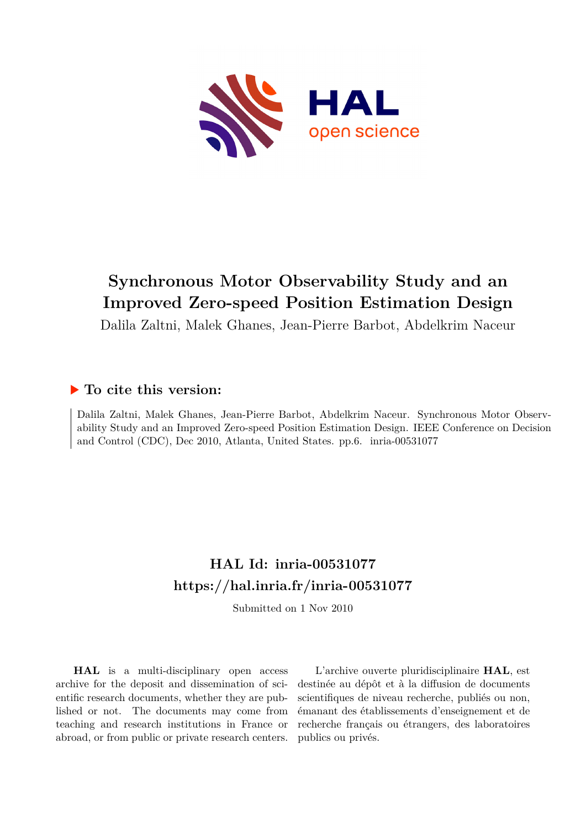

# **Synchronous Motor Observability Study and an Improved Zero-speed Position Estimation Design**

Dalila Zaltni, Malek Ghanes, Jean-Pierre Barbot, Abdelkrim Naceur

# **To cite this version:**

Dalila Zaltni, Malek Ghanes, Jean-Pierre Barbot, Abdelkrim Naceur. Synchronous Motor Observability Study and an Improved Zero-speed Position Estimation Design. IEEE Conference on Decision and Control (CDC), Dec 2010, Atlanta, United States. pp.6. inria-00531077

# **HAL Id: inria-00531077 <https://hal.inria.fr/inria-00531077>**

Submitted on 1 Nov 2010

**HAL** is a multi-disciplinary open access archive for the deposit and dissemination of scientific research documents, whether they are published or not. The documents may come from teaching and research institutions in France or abroad, or from public or private research centers.

L'archive ouverte pluridisciplinaire **HAL**, est destinée au dépôt et à la diffusion de documents scientifiques de niveau recherche, publiés ou non, émanant des établissements d'enseignement et de recherche français ou étrangers, des laboratoires publics ou privés.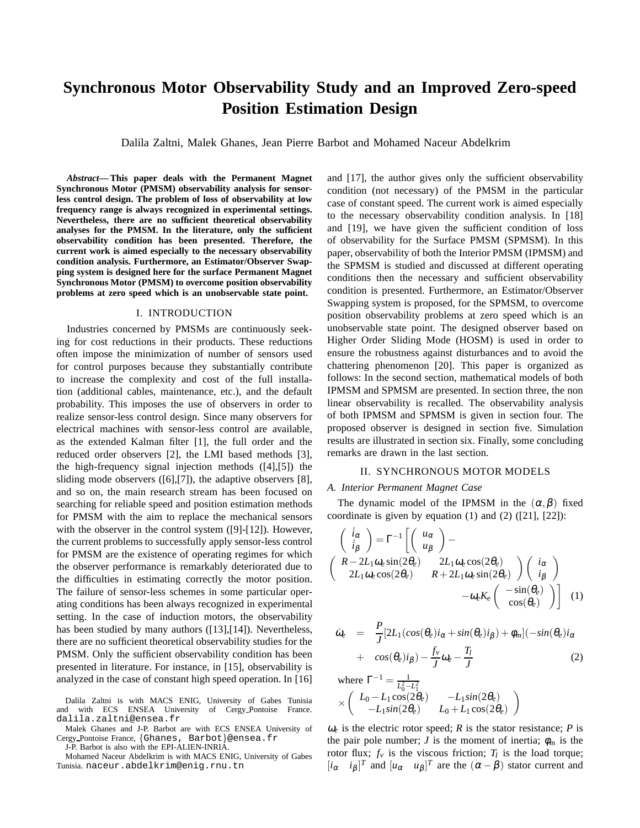# **Synchronous Motor Observability Study and an Improved Zero-speed Position Estimation Design**

Dalila Zaltni, Malek Ghanes, Jean Pierre Barbot and Mohamed Naceur Abdelkrim

*Abstract***— This paper deals with the Permanent Magnet Synchronous Motor (PMSM) observability analysis for sensorless control design. The problem of loss of observability at low frequency range is always recognized in experimental settings. Nevertheless, there are no sufficient theoretical observability analyses for the PMSM. In the literature, only the sufficient observability condition has been presented. Therefore, the current work is aimed especially to the necessary observability condition analysis. Furthermore, an Estimator/Observer Swapping system is designed here for the surface Permanent Magnet Synchronous Motor (PMSM) to overcome position observability problems at zero speed which is an unobservable state point.**

#### I. INTRODUCTION

Industries concerned by PMSMs are continuously seeking for cost reductions in their products. These reductions often impose the minimization of number of sensors used for control purposes because they substantially contribute to increase the complexity and cost of the full installation (additional cables, maintenance, etc.), and the default probability. This imposes the use of observers in order to realize sensor-less control design. Since many observers for electrical machines with sensor-less control are available, as the extended Kalman filter [1], the full order and the reduced order observers [2], the LMI based methods [3], the high-frequency signal injection methods ([4],[5]) the sliding mode observers ([6],[7]), the adaptive observers [8], and so on, the main research stream has been focused on searching for reliable speed and position estimation methods for PMSM with the aim to replace the mechanical sensors with the observer in the control system ([9]-[12]). However, the current problems to successfully apply sensor-less control for PMSM are the existence of operating regimes for which the observer performance is remarkably deteriorated due to the difficulties in estimating correctly the motor position. The failure of sensor-less schemes in some particular operating conditions has been always recognized in experimental setting. In the case of induction motors, the observability has been studied by many authors ([13],[14]). Nevertheless, there are no sufficient theoretical observability studies for the PMSM. Only the sufficient observability condition has been presented in literature. For instance, in [15], observability is analyzed in the case of constant high speed operation. In [16]

Dalila Zaltni is with MACS ENIG, University of Gabes Tunisia and with ECS ENSEA University of Cergy Pontoise France. dalila.zaltni@ensea.fr

Malek Ghanes and J-P. Barbot are with ECS ENSEA University of Cergy Pontoise France, {Ghanes, Barbot}@ensea.fr

J-P. Barbot is also with the EPI-ALIEN-INRIA.

Mohamed Naceur Abdelkrim is with MACS ENIG, University of Gabes Tunisia. naceur.abdelkrim@enig.rnu.tn

and [17], the author gives only the sufficient observability condition (not necessary) of the PMSM in the particular case of constant speed. The current work is aimed especially to the necessary observability condition analysis. In [18] and [19], we have given the sufficient condition of loss of observability for the Surface PMSM (SPMSM). In this paper, observability of both the Interior PMSM (IPMSM) and the SPMSM is studied and discussed at different operating conditions then the necessary and sufficient observability condition is presented. Furthermore, an Estimator/Observer Swapping system is proposed, for the SPMSM, to overcome position observability problems at zero speed which is an unobservable state point. The designed observer based on Higher Order Sliding Mode (HOSM) is used in order to ensure the robustness against disturbances and to avoid the chattering phenomenon [20]. This paper is organized as follows: In the second section, mathematical models of both IPMSM and SPMSM are presented. In section three, the non linear observability is recalled. The observability analysis of both IPMSM and SPMSM is given in section four. The proposed observer is designed in section five. Simulation results are illustrated in section six. Finally, some concluding remarks are drawn in the last section.

#### II. SYNCHRONOUS MOTOR MODELS

#### *A. Interior Permanent Magnet Case*

The dynamic model of the IPMSM in the  $(\alpha, \beta)$  fixed coordinate is given by equation  $(1)$  and  $(2)$   $([21], [22])$ :

$$
\begin{pmatrix}\n\dot{i}_{\alpha} \\
\dot{i}_{\beta}\n\end{pmatrix} = \Gamma^{-1} \begin{bmatrix}\n\begin{pmatrix}\nu_{\alpha} \\
u_{\beta}\n\end{pmatrix} - \n\begin{pmatrix}\nR - 2L_1 \omega_e \sin(2\theta_e) & 2L_1 \omega_e \cos(2\theta_e) \\
2L_1 \omega_e \cos(2\theta_e) & R + 2L_1 \omega_e \sin(2\theta_e)\n\end{pmatrix} \begin{pmatrix}\n\dot{i}_{\alpha} \\
\dot{i}_{\beta}\n\end{pmatrix} \\
-\omega_e K_e \begin{pmatrix}\n-\sin(\theta_e) \\
\cos(\theta_e)\n\end{pmatrix} \quad (1)
$$

$$
\dot{\omega}_e = \frac{P}{J} [2L_1(cos(\theta_e)i_\alpha + sin(\theta_e)i_\beta) + \phi_m](-sin(\theta_e)i_\alpha + cos(\theta_e)i_\beta) - \frac{f_\nu}{J}\omega_e - \frac{T_I}{J}
$$
\n(2)

where  $\Gamma^{-1} = \frac{1}{L^2}$  $L_0^2 - L_1^2$  $\times$   $\begin{pmatrix} L_0 - L_1 \cos(2\theta_e) & -L_1 \sin(2\theta_e) \\ L_0 \sin(2\theta_e) & L_1 + L_2 \cos(2\theta_e) \end{pmatrix}$  $-L_1 sin(2\theta_e)$   $L_0 + L_1 cos(2\theta_e)$  $\setminus$ 

 $\omega_e$  is the electric rotor speed; *R* is the stator resistance; *P* is the pair pole number; *J* is the moment of inertia;  $\phi_m$  is the rotor flux;  $f_v$  is the viscous friction;  $T_l$  is the load torque;  $[i_{\alpha} \quad i_{\beta}]^T$  and  $[i_{\alpha} \quad u_{\beta}]^T$  are the  $({\alpha} - {\beta})$  stator current and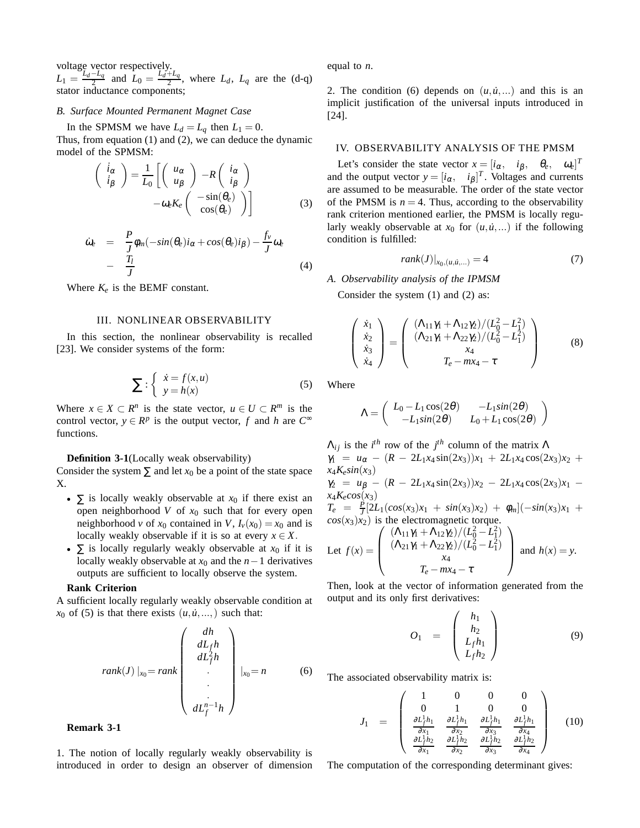voltage vector respectively.  $L_1 = \frac{L_d - L_q}{2}$  and  $L_0 = \frac{L_d + L_q}{2}$ , where  $L_d$ ,  $L_q$  are the (d-q) stator inductance components;

### *B. Surface Mounted Permanent Magnet Case*

In the SPMSM we have  $L_d = L_q$  then  $L_1 = 0$ . Thus, from equation (1) and (2), we can deduce the dynamic

model of the SPMSM:  
\n
$$
\begin{pmatrix}\n i_{\alpha} \\
 i_{\beta}\n\end{pmatrix} = \frac{1}{L_0} \left[ \begin{pmatrix} u_{\alpha} \\
 u_{\beta}\n\end{pmatrix} - R \begin{pmatrix} i_{\alpha} \\
 i_{\beta}\n\end{pmatrix} -\omega_e K_e \begin{pmatrix} -\sin(\theta_e) \\
\cos(\theta_e)\n\end{pmatrix} \right]
$$
\n(3)

$$
\dot{\omega}_e = \frac{P}{J} \phi_m(-\sin(\theta_e)i_\alpha + \cos(\theta_e)i_\beta) - \frac{f_v}{J} \omega_e
$$
  
- 
$$
\frac{T_l}{J}
$$
 (4)

Where  $K_e$  is the BEMF constant.

#### III. NONLINEAR OBSERVABILITY

In this section, the nonlinear observability is recalled [23]. We consider systems of the form:

$$
\sum : \begin{cases} \dot{x} = f(x, u) \\ y = h(x) \end{cases}
$$
 (5)

Where  $x \in X \subset R^n$  is the state vector,  $u \in U \subset R^m$  is the control vector,  $y \in R^p$  is the output vector, *f* and *h* are  $C^{\infty}$ functions.

#### **Definition 3-1**(Locally weak observability)

Consider the system  $\Sigma$  and let  $x_0$  be a point of the state space X.

- $\Sigma$  is locally weakly observable at  $x_0$  if there exist an open neighborhood  $V$  of  $x_0$  such that for every open neighborhood *v* of  $x_0$  contained in *V*,  $I_v(x_0) = x_0$  and is locally weakly observable if it is so at every  $x \in X$ .
- $\Sigma$  is locally regularly weakly observable at  $x_0$  if it is locally weakly observable at  $x_0$  and the  $n-1$  derivatives outputs are sufficient to locally observe the system.

## **Rank Criterion**

A sufficient locally regularly weakly observable condition at  $x_0$  of (5) is that there exists  $(u, \dot{u}, \ldots)$  such that:

$$
rank(J)|_{x_0} = rank \begin{pmatrix} dh \\ dL_f h \\ dL_f^2 h \\ \vdots \\ dL_f^{n-1} h \end{pmatrix} |_{x_0} = n \qquad (6)
$$

#### **Remark 3-1**

1. The notion of locally regularly weakly observability is introduced in order to design an observer of dimension equal to *n*.

2. The condition (6) depends on  $(u, u, ...)$  and this is an implicit justification of the universal inputs introduced in [24].

#### IV. OBSERVABILITY ANALYSIS OF THE PMSM

Let's consider the state vector  $x = [i_{\alpha}, \quad i_{\beta}, \quad \theta_e, \quad \omega_e]^T$ and the output vector  $y = [i_{\alpha}, i_{\beta}]^T$ . Voltages and currents are assumed to be measurable. The order of the state vector of the PMSM is  $n = 4$ . Thus, according to the observability rank criterion mentioned earlier, the PMSM is locally regularly weakly observable at  $x_0$  for  $(u, \dot{u}, ...)$  if the following condition is fulfilled:

$$
rank(J)|_{x_0,(u,\dot{u},...)} = 4
$$
 (7)

#### *A. Observability analysis of the IPMSM*

Consider the system (1) and (2) as:

$$
\begin{pmatrix} \dot{x}_1 \\ \dot{x}_2 \\ \dot{x}_3 \\ \dot{x}_4 \end{pmatrix} = \begin{pmatrix} (\Lambda_{11}\gamma_1 + \Lambda_{12}\gamma_2)/(L_0^2 - L_1^2) \\ (\Lambda_{21}\gamma_1 + \Lambda_{22}\gamma_2)/(L_0^2 - L_1^2) \\ x_4 \\ T_e - mx_4 - \tau \end{pmatrix}
$$
(8)

Where

$$
\Lambda = \begin{pmatrix} L_0 - L_1 \cos(2\theta) & -L_1 \sin(2\theta) \\ -L_1 \sin(2\theta) & L_0 + L_1 \cos(2\theta) \end{pmatrix}
$$

 $\Lambda_{ij}$  is the *i*<sup>th</sup> row of the *j*<sup>th</sup> column of the matrix  $\Lambda$  $\gamma_1 = u_\alpha - (R - 2L_1x_4\sin(2x_3))x_1 + 2L_1x_4\cos(2x_3)x_2 +$  $x_4K_esin(x_3)$  $\gamma_2 = u_\beta - (R - 2L_1x_4\sin(2x_3))x_2 - 2L_1x_4\cos(2x_3)x_1$  $x_4K_ecos(x_3)$  $T_e = \frac{P}{I} [2L_1(cos(x_3)x_1 + sin(x_3)x_2) + \phi_m](-sin(x_3)x_1 +$  $\int_{cos(x_3)x_2}^{\infty}$   $\frac{1}{2}$  (*cos*(*x*<sub>3</sub>)*x*<sub>2</sub>) is the electromagnetic torque.  $\left( (\Lambda_{11}\gamma_1 + \Lambda_{12}\gamma_2)/(L_0^2 - L_1^2) \right)$  $\setminus$ 

Let 
$$
f(x) = \begin{pmatrix} (\Lambda_{11}\gamma_1 + \Lambda_{12}\gamma_2)/ (L_0^2 - L_1^2) \\ (\Lambda_{21}\gamma_1 + \Lambda_{22}\gamma_2)/ (L_0^2 - L_1^2) \\ x_4 \\ T_e - mx_4 - \tau \end{pmatrix}
$$
 and  $h(x) = y$ .

Then, look at the vector of information generated from the output and its only first derivatives:

$$
O_1 = \begin{pmatrix} h_1 \\ h_2 \\ L_f h_1 \\ L_f h_2 \end{pmatrix}
$$
 (9)

The associated observability matrix is:

$$
J_1 = \begin{pmatrix} 1 & 0 & 0 & 0 \\ 0 & 1 & 0 & 0 \\ \frac{\partial L_f^1 h_1}{\partial x_1} & \frac{\partial L_f^1 h_1}{\partial x_2} & \frac{\partial L_f^1 h_1}{\partial x_3} & \frac{\partial L_f^1 h_1}{\partial x_4} \\ \frac{\partial L_f^1 h_2}{\partial x_1} & \frac{\partial L_f^1 h_2}{\partial x_2} & \frac{\partial L_f^1 h_2}{\partial x_3} & \frac{\partial L_f^1 h_2}{\partial x_4} \end{pmatrix}
$$
(10)

The computation of the corresponding determinant gives: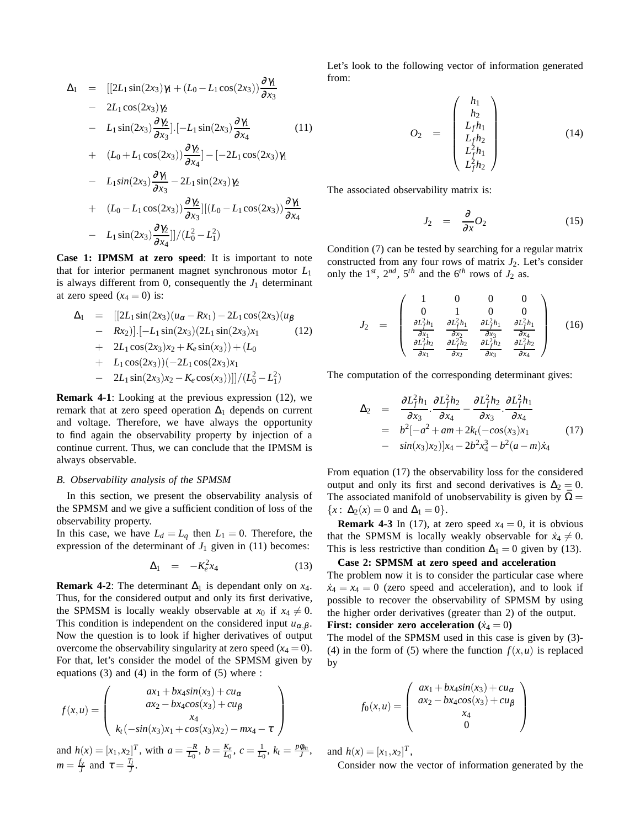$$
\Delta_1 = [[2L_1 \sin(2x_3)\gamma_1 + (L_0 - L_1 \cos(2x_3))\frac{\partial \gamma_1}{\partial x_3} - 2L_1 \cos(2x_3)\gamma_2
$$
  
\n
$$
- L_1 \sin(2x_3)\frac{\partial \gamma_2}{\partial x_3}].[-L_1 \sin(2x_3)\frac{\partial \gamma_1}{\partial x_4} - (11)
$$
  
\n
$$
+ (L_0 + L_1 \cos(2x_3))\frac{\partial \gamma_2}{\partial x_4}]-[-2L_1 \cos(2x_3)\gamma_1
$$
  
\n
$$
- L_1 \sin(2x_3)\frac{\partial \gamma_1}{\partial x_3} - 2L_1 \sin(2x_3)\gamma_2
$$
  
\n
$$
+ (L_0 - L_1 \cos(2x_3))\frac{\partial \gamma_2}{\partial x_3}][(L_0 - L_1 \cos(2x_3))\frac{\partial \gamma_1}{\partial x_4}
$$
  
\n
$$
- L_1 \sin(2x_3)\frac{\partial \gamma_2}{\partial x_4}]/(L_0^2 - L_1^2)
$$

**Case 1: IPMSM at zero speed**: It is important to note that for interior permanent magnet synchronous motor *L*<sup>1</sup> is always different from 0, consequently the  $J_1$  determinant at zero speed  $(x_4 = 0)$  is:

$$
\Delta_1 = [[2L_1 \sin(2x_3)(u_{\alpha} - Rx_1) - 2L_1 \cos(2x_3)(u_{\beta} \n- Rx_2)].[-L_1 \sin(2x_3)(2L_1 \sin(2x_3)x_1 \n+ 2L_1 \cos(2x_3)x_2 + K_e \sin(x_3)) + (L_0 \n+ L_1 \cos(2x_3))(-2L_1 \cos(2x_3)x_1
$$
\n(12)

$$
- 2L_1 \sin(2x_3)x_2 - K_e \cos(x_3))]/(L_0^2 - L_1^2)
$$

**Remark 4-1**: Looking at the previous expression (12), we remark that at zero speed operation  $\Delta_1$  depends on current and voltage. Therefore, we have always the opportunity to find again the observability property by injection of a continue current. Thus, we can conclude that the IPMSM is always observable.

## *B. Observability analysis of the SPMSM*

In this section, we present the observability analysis of the SPMSM and we give a sufficient condition of loss of the observability property.

In this case, we have  $L_d = L_q$  then  $L_1 = 0$ . Therefore, the expression of the determinant of  $J_1$  given in (11) becomes:

$$
\Delta_1 = -K_e^2 x_4 \tag{13}
$$

**Remark 4-2:** The determinant  $\Delta_1$  is dependant only on  $x_4$ . Thus, for the considered output and only its first derivative, the SPMSM is locally weakly observable at  $x_0$  if  $x_4 \neq 0$ . This condition is independent on the considered input  $u_{\alpha,\beta}$ . Now the question is to look if higher derivatives of output overcome the observability singularity at zero speed  $(x_4 = 0)$ . For that, let's consider the model of the SPMSM given by equations (3) and (4) in the form of (5) where :

$$
f(x, u) = \begin{pmatrix} ax_1 + bx_4 \sin(x_3) + cu_\alpha \\ ax_2 - bx_4 \cos(x_3) + cu_\beta \\ x_4 \\ k_1(-\sin(x_3)x_1 + \cos(x_3)x_2) - mx_4 - \tau \end{pmatrix}
$$

and  $h(x) = [x_1, x_2]^T$ , with  $a = \frac{-R}{L_0}$ ,  $b = \frac{K_e}{L_0}$ ,  $c = \frac{1}{L_0}$ ,  $k_t = \frac{p\phi_m}{J}$ ,  $m = \frac{f_v}{J}$  and  $\tau = \frac{T_l}{J}$ .

Let's look to the following vector of information generated from:

$$
O_2 = \begin{pmatrix} h_1 \\ h_2 \\ L_f h_1 \\ L_f h_2 \\ L_f^2 h_1 \\ L_f^2 h_2 \end{pmatrix}
$$
 (14)

The associated observability matrix is:

$$
J_2 = \frac{\partial}{\partial x} O_2 \tag{15}
$$

Condition (7) can be tested by searching for a regular matrix constructed from any four rows of matrix  $J_2$ . Let's consider only the  $1^{st}$ ,  $2^{nd}$ ,  $5^{th}$  and the  $6^{th}$  rows of  $J_2$  as.

$$
J_2 = \begin{pmatrix} 1 & 0 & 0 & 0 \\ 0 & 1 & 0 & 0 \\ \frac{\partial L_f^2 h_1}{\partial x_1} & \frac{\partial L_f^2 h_1}{\partial x_2} & \frac{\partial L_f^2 h_1}{\partial x_3} & \frac{\partial L_f^2 h_1}{\partial x_4} \\ \frac{\partial L_f^2 h_2}{\partial x_1} & \frac{\partial L_f^2 h_2}{\partial x_2} & \frac{\partial L_f^2 h_2}{\partial x_3} & \frac{\partial L_f^2 h_2}{\partial x_4} \end{pmatrix}
$$
(16)

The computation of the corresponding determinant gives:

$$
\Delta_2 = \frac{\partial L_f^2 h_1}{\partial x_3} \cdot \frac{\partial L_f^2 h_2}{\partial x_4} - \frac{\partial L_f^2 h_2}{\partial x_3} \cdot \frac{\partial L_f^2 h_1}{\partial x_4} \n= b^2[-a^2 + am + 2k_t(-cos(x_3)x_1\n- sin(x_3)x_2)]x_4 - 2b^2x_4^3 - b^2(a - m)x_4
$$
\n(17)

From equation (17) the observability loss for the considered output and only its first and second derivatives is  $\Delta_2 = 0$ . The associated manifold of unobservability is given by  $\overline{\Omega} =$  ${x : \Delta_2(x) = 0 \text{ and } \Delta_1 = 0}.$ 

**Remark 4-3** In (17), at zero speed  $x_4 = 0$ , it is obvious that the SPMSM is locally weakly observable for  $\dot{x}_4 \neq 0$ . This is less restrictive than condition  $\Delta_1 = 0$  given by (13).

#### **Case 2: SPMSM at zero speed and acceleration**

The problem now it is to consider the particular case where  $\dot{x}_4 = x_4 = 0$  (zero speed and acceleration), and to look if possible to recover the observability of SPMSM by using the higher order derivatives (greater than 2) of the output.

## **First: consider zero acceleration**  $(\dot{x}_4 = 0)$

The model of the SPMSM used in this case is given by (3)- (4) in the form of (5) where the function  $f(x, u)$  is replaced by

$$
f_0(x, u) = \begin{pmatrix} ax_1 + bx_4 \sin(x_3) + cu_{\alpha} \\ ax_2 - bx_4 \cos(x_3) + cu_{\beta} \\ x_4 \\ 0 \end{pmatrix}
$$

and  $h(x) = [x_1, x_2]^T$ ,

Consider now the vector of information generated by the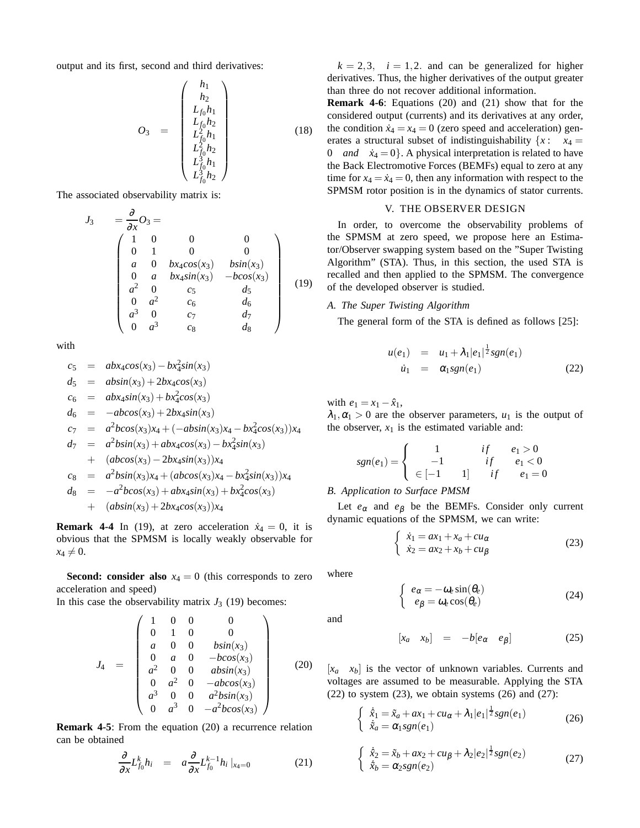output and its first, second and third derivatives:

$$
O_{3} = \begin{pmatrix} h_{1} \\ h_{2} \\ L_{f_{0}}h_{1} \\ L_{f_{0}}h_{2} \\ L_{f_{0}}^{2}h_{1} \\ L_{f_{0}}^{2}h_{2} \\ L_{f_{0}}^{3}h_{1} \\ L_{f_{0}}^{3}h_{2} \end{pmatrix}
$$
 (18)

The associated observability matrix is:

$$
J_3 = \frac{\partial}{\partial x} O_3 =
$$
\n
$$
\begin{pmatrix}\n1 & 0 & 0 & 0 \\
0 & 1 & 0 & 0 \\
a & 0 & bx_4 cos(x_3) & b sin(x_3) \\
0 & a & bx_4 sin(x_3) & -b cos(x_3) \\
a^2 & 0 & c_5 & d_5 \\
0 & a^2 & c_6 & d_6 \\
a^3 & 0 & c_7 & d_7 \\
0 & a^3 & c_8 & d_8\n\end{pmatrix}
$$
\n(19)

with

$$
c_5 = abx_4cos(x_3) - bx_4^2sin(x_3)
$$
  
\n
$$
d_5 = absin(x_3) + 2bx_4cos(x_3)
$$
  
\n
$$
c_6 = abx_4sin(x_3) + bx_4^2cos(x_3)
$$
  
\n
$$
d_6 = -abcos(x_3) + 2bx_4sin(x_3)
$$
  
\n
$$
c_7 = a^2bcos(x_3)x_4 + (-absin(x_3)x_4 - bx_4^2cos(x_3))x_4
$$
  
\n
$$
d_7 = a^2bsin(x_3) + abx_4cos(x_3) - bx_4^2sin(x_3)
$$
  
\n
$$
+ (abcos(x_3) - 2bx_4sin(x_3))x_4
$$
  
\n
$$
c_8 = a^2bsin(x_3)x_4 + (abcos(x_3)x_4 - bx_4^2sin(x_3))x_4
$$
  
\n
$$
d_8 = -a^2bcos(x_3) + abx_4sin(x_3) + bx_4^2cos(x_3)
$$
  
\n
$$
+ (absin(x_3) + 2bx_4cos(x_3))x_4
$$

**Remark 4-4** In (19), at zero acceleration  $\dot{x}_4 = 0$ , it is obvious that the SPMSM is locally weakly observable for  $x_4 \neq 0$ .

**Second: consider also**  $x_4 = 0$  (this corresponds to zero acceleration and speed)

In this case the observability matrix  $J_3$  (19) becomes:

$$
J_4 = \begin{pmatrix} 1 & 0 & 0 & 0 \\ 0 & 1 & 0 & 0 \\ a & 0 & 0 & b\sin(x_3) \\ 0 & a & 0 & -bcos(x_3) \\ a^2 & 0 & 0 & ab\sin(x_3) \\ 0 & a^2 & 0 & -ab\cos(x_3) \\ a^3 & 0 & 0 & a^2bsin(x_3) \\ 0 & a^3 & 0 & -a^2bcos(x_3) \end{pmatrix}
$$
 (20)

**Remark 4-5**: From the equation (20) a recurrence relation can be obtained

$$
\frac{\partial}{\partial x} L_{f_0}^k h_i = a \frac{\partial}{\partial x} L_{f_0}^{k-1} h_i |_{x_4=0}
$$
 (21)

 $k = 2,3$ ,  $i = 1,2$  and can be generalized for higher derivatives. Thus, the higher derivatives of the output greater than three do not recover additional information.

**Remark 4-6**: Equations (20) and (21) show that for the considered output (currents) and its derivatives at any order, the condition  $\dot{x}_4 = x_4 = 0$  (zero speed and acceleration) generates a structural subset of indistinguishability  $\{x: x_4 =$ 0 *and*  $\dot{x}_4 = 0$ . A physical interpretation is related to have the Back Electromotive Forces (BEMFs) equal to zero at any time for  $x_4 = \dot{x}_4 = 0$ , then any information with respect to the SPMSM rotor position is in the dynamics of stator currents.

#### V. THE OBSERVER DESIGN

In order, to overcome the observability problems of the SPMSM at zero speed, we propose here an Estimator/Observer swapping system based on the "Super Twisting Algorithm" (STA). Thus, in this section, the used STA is recalled and then applied to the SPMSM. The convergence of the developed observer is studied.

#### *A. The Super Twisting Algorithm*

The general form of the STA is defined as follows [25]:

$$
u(e_1) = u_1 + \lambda_1 |e_1|^{\frac{1}{2}} sgn(e_1)
$$
  
\n
$$
\dot{u}_1 = \alpha_1 sgn(e_1) \tag{22}
$$

with  $e_1 = x_1 - \hat{x}_1$ ,

 $\lambda_1, \alpha_1 > 0$  are the observer parameters,  $u_1$  is the output of the observer,  $x_1$  is the estimated variable and:

$$
sgn(e_1) = \begin{cases} 1 & if \quad e_1 > 0 \\ -1 & if \quad e_1 < 0 \\ \in [-1 \quad 1] & if \quad e_1 = 0 \end{cases}
$$

*B. Application to Surface PMSM*

Let  $e_{\alpha}$  and  $e_{\beta}$  be the BEMFs. Consider only current dynamic equations of the SPMSM, we can write:

$$
\begin{cases}\n\dot{x}_1 = ax_1 + x_a + cu_\alpha \\
\dot{x}_2 = ax_2 + x_b + cu_\beta\n\end{cases}
$$
\n(23)

where

$$
\begin{cases}\ne_{\alpha} = -\omega_e \sin(\theta_e) \\
e_{\beta} = \omega_e \cos(\theta_e)\n\end{cases} \tag{24}
$$

and

$$
\begin{bmatrix} x_a & x_b \end{bmatrix} = -b \begin{bmatrix} e_\alpha & e_\beta \end{bmatrix} \tag{25}
$$

 $[x_a \ x_b]$  is the vector of unknown variables. Currents and voltages are assumed to be measurable. Applying the STA  $(22)$  to system  $(23)$ , we obtain systems  $(26)$  and  $(27)$ :

$$
\begin{cases} \n\dot{\tilde{x}}_1 = \tilde{x}_a + ax_1 + cu_\alpha + \lambda_1 |e_1|^{\frac{1}{2}} sgn(e_1) \\
\tilde{x}_a = \alpha_1 sgn(e_1) \n\end{cases} \n\tag{26}
$$

$$
\begin{cases} \n\dot{\hat{x}}_2 = \tilde{x}_b + ax_2 + cu_\beta + \lambda_2 |e_2|^{\frac{1}{2}} sgn(e_2) \\
\tilde{x}_b = \alpha_2 sgn(e_2) \n\end{cases} \n\tag{27}
$$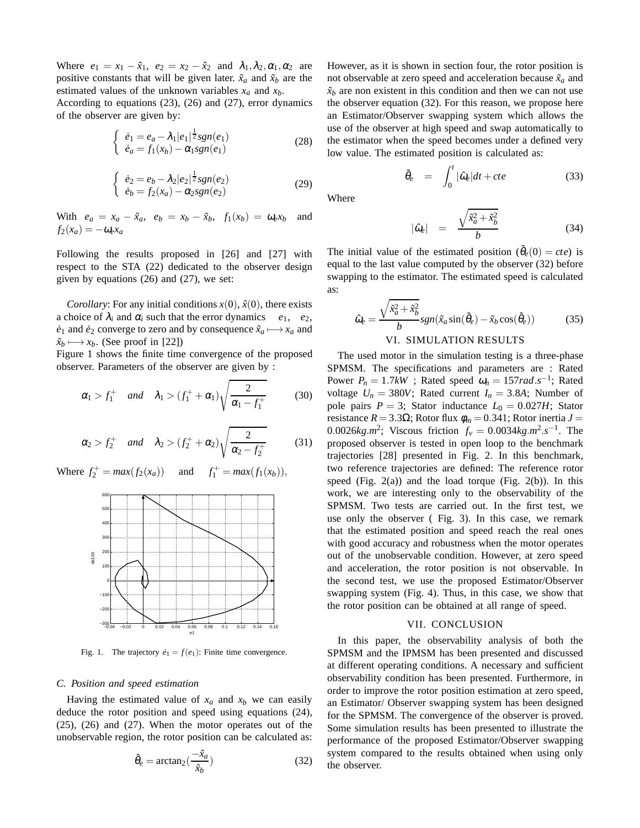Where  $e_1 = x_1 - \hat{x}_1$ ,  $e_2 = x_2 - \hat{x}_2$  and  $\lambda_1, \lambda_2, \alpha_1, \alpha_2$  are positive constants that will be given later.  $\tilde{x}_a$  and  $\tilde{x}_b$  are the estimated values of the unknown variables *x<sup>a</sup>* and *xb*.

According to equations (23), (26) and (27), error dynamics of the observer are given by:

$$
\begin{cases} \dot{e}_1 = e_a - \lambda_1 |e_1|^{\frac{1}{2}} sgn(e_1) \\ \dot{e}_a = f_1(x_b) - \alpha_1 sgn(e_1) \end{cases}
$$
 (28)

$$
\begin{cases}\n\dot{e}_2 = e_b - \lambda_2 |e_2|^{\frac{1}{2}} sgn(e_2) \\
\dot{e}_b = f_2(x_a) - \alpha_2 sgn(e_2)\n\end{cases} (29)
$$

With  $e_a = x_a - \tilde{x}_a$ ,  $e_b = x_b - \tilde{x}_b$ ,  $f_1(x_b) = \omega_e x_b$  and  $f_2(x_a) = -\omega_e x_a$ 

Following the results proposed in [26] and [27] with respect to the STA (22) dedicated to the observer design given by equations (26) and (27), we set:

*Corollary*: For any initial conditions  $x(0)$ ,  $\hat{x}(0)$ , there exists a choice of  $\lambda_i$  and  $\alpha_i$  such that the error dynamics  $e_1, e_2,$  $\dot{e}_1$  and  $\dot{e}_2$  converge to zero and by consequence  $\tilde{x}_a \longmapsto x_a$  and  $\tilde{x}_b$  →  $x_b$ . (See proof in [22])

Figure 1 shows the finite time convergence of the proposed observer. Parameters of the observer are given by :

$$
\alpha_1 > f_1^+
$$
 and  $\lambda_1 > (f_1^+ + \alpha_1) \sqrt{\frac{2}{\alpha_1 - f_1^+}}$  (30)

$$
\alpha_2 > f_2^+
$$
 and  $\lambda_2 > (f_2^+ + \alpha_2) \sqrt{\frac{2}{\alpha_2 - f_2^+}}$  (31)

Where  $f_2^+ = max(f_2(x_a))$  and  $f_1^+ = max(f_1(x_b)),$ 



Fig. 1. The trajectory  $\dot{e}_1 = f(e_1)$ : Finite time convergence.

#### *C. Position and speed estimation*

Having the estimated value of  $x_a$  and  $x_b$  we can easily deduce the rotor position and speed using equations (24), (25), (26) and (27). When the motor operates out of the unobservable region, the rotor position can be calculated as:

$$
\hat{\theta}_e = \arctan_2(\frac{-\tilde{x}_a}{\tilde{x}_b})\tag{32}
$$

However, as it is shown in section four, the rotor position is not observable at zero speed and acceleration because  $\tilde{x}_a$  and  $\tilde{x}_b$  are non existent in this condition and then we can not use the observer equation (32). For this reason, we propose here an Estimator/Observer swapping system which allows the use of the observer at high speed and swap automatically to the estimator when the speed becomes under a defined very low value. The estimated position is calculated as:

$$
\hat{\theta}_e = \int_0^t |\hat{\omega}_e| dt + cte \tag{33}
$$

Where

$$
|\hat{\omega}_e| = \frac{\sqrt{\tilde{x}_a^2 + \tilde{x}_b^2}}{b} \tag{34}
$$

The initial value of the estimated position  $(\hat{\theta}_e(0) = cte)$  is equal to the last value computed by the observer (32) before swapping to the estimator. The estimated speed is calculated as:

$$
\hat{\omega}_e = \frac{\sqrt{\tilde{x}_a^2 + \tilde{x}_b^2}}{b} sgn(\tilde{x}_a \sin(\hat{\theta}_e) - \tilde{x}_b \cos(\hat{\theta}_e))
$$
(35)

#### VI. SIMULATION RESULTS

The used motor in the simulation testing is a three-phase SPMSM. The specifications and parameters are : Rated Power  $P_n = 1.7kW$ ; Rated speed  $\omega_n = 157 \text{ rad.} s^{-1}$ ; Rated voltage  $U_n = 380V$ ; Rated current  $I_n = 3.8A$ ; Number of pole pairs  $P = 3$ ; Stator inductance  $L_0 = 0.027H$ ; Stator resistance *R* = 3.3Ω; Rotor flux  $φ<sub>m</sub> = 0.341$ ; Rotor inertia *J* = 0.0026 $kg.m^2$ ; Viscous friction  $f_v = 0.0034 kg.m^2.s^{-1}$ . The proposed observer is tested in open loop to the benchmark trajectories [28] presented in Fig. 2. In this benchmark, two reference trajectories are defined: The reference rotor speed (Fig.  $2(a)$ ) and the load torque (Fig.  $2(b)$ ). In this work, we are interesting only to the observability of the SPMSM. Two tests are carried out. In the first test, we use only the observer ( Fig. 3). In this case, we remark that the estimated position and speed reach the real ones with good accuracy and robustness when the motor operates out of the unobservable condition. However, at zero speed and acceleration, the rotor position is not observable. In the second test, we use the proposed Estimator/Observer swapping system (Fig. 4). Thus, in this case, we show that the rotor position can be obtained at all range of speed.

#### VII. CONCLUSION

In this paper, the observability analysis of both the SPMSM and the IPMSM has been presented and discussed at different operating conditions. A necessary and sufficient observability condition has been presented. Furthermore, in order to improve the rotor position estimation at zero speed, an Estimator/ Observer swapping system has been designed for the SPMSM. The convergence of the observer is proved. Some simulation results has been presented to illustrate the performance of the proposed Estimator/Observer swapping system compared to the results obtained when using only the observer.